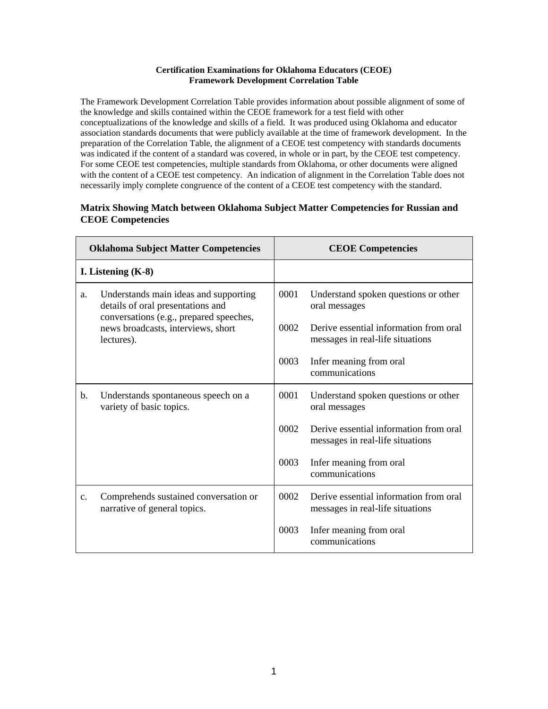## **Certification Examinations for Oklahoma Educators (CEOE) Framework Development Correlation Table**

The Framework Development Correlation Table provides information about possible alignment of some of the knowledge and skills contained within the CEOE framework for a test field with other conceptualizations of the knowledge and skills of a field. It was produced using Oklahoma and educator association standards documents that were publicly available at the time of framework development. In the preparation of the Correlation Table, the alignment of a CEOE test competency with standards documents was indicated if the content of a standard was covered, in whole or in part, by the CEOE test competency. For some CEOE test competencies, multiple standards from Oklahoma, or other documents were aligned with the content of a CEOE test competency. An indication of alignment in the Correlation Table does not necessarily imply complete congruence of the content of a CEOE test competency with the standard.

## **Matrix Showing Match between Oklahoma Subject Matter Competencies for Russian and CEOE Competencies**

| <b>Oklahoma Subject Matter Competencies</b> |                                                                                                                                                                           | <b>CEOE Competencies</b> |                                                                            |  |
|---------------------------------------------|---------------------------------------------------------------------------------------------------------------------------------------------------------------------------|--------------------------|----------------------------------------------------------------------------|--|
| I. Listening $(K-8)$                        |                                                                                                                                                                           |                          |                                                                            |  |
| a.                                          | Understands main ideas and supporting<br>details of oral presentations and<br>conversations (e.g., prepared speeches,<br>news broadcasts, interviews, short<br>lectures). | 0001                     | Understand spoken questions or other<br>oral messages                      |  |
|                                             |                                                                                                                                                                           | 0002                     | Derive essential information from oral<br>messages in real-life situations |  |
|                                             |                                                                                                                                                                           | 0003                     | Infer meaning from oral<br>communications                                  |  |
| b.                                          | Understands spontaneous speech on a<br>variety of basic topics.                                                                                                           | 0001                     | Understand spoken questions or other<br>oral messages                      |  |
|                                             |                                                                                                                                                                           | 0002                     | Derive essential information from oral<br>messages in real-life situations |  |
|                                             |                                                                                                                                                                           | 0003                     | Infer meaning from oral<br>communications                                  |  |
| $\mathbf{c}$ .                              | Comprehends sustained conversation or<br>narrative of general topics.                                                                                                     | 0002                     | Derive essential information from oral<br>messages in real-life situations |  |
|                                             |                                                                                                                                                                           | 0003                     | Infer meaning from oral<br>communications                                  |  |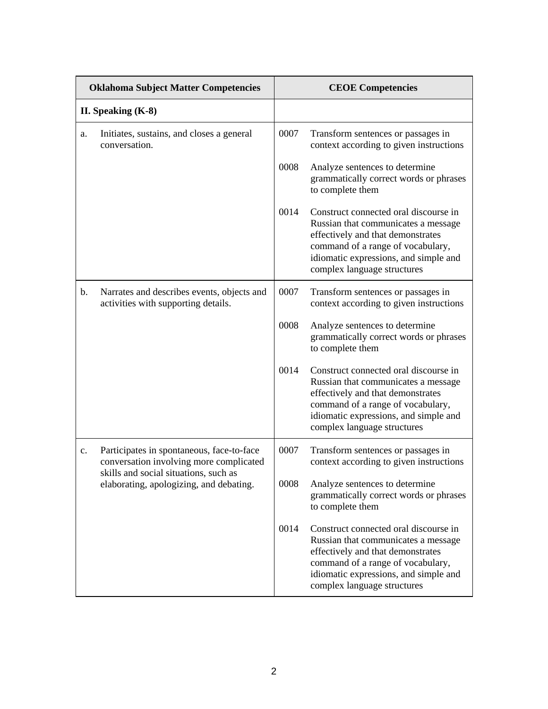| <b>Oklahoma Subject Matter Competencies</b> |                                                                                                                               | <b>CEOE Competencies</b> |                                                                                                                                                                                                                                |  |
|---------------------------------------------|-------------------------------------------------------------------------------------------------------------------------------|--------------------------|--------------------------------------------------------------------------------------------------------------------------------------------------------------------------------------------------------------------------------|--|
| II. Speaking $(K-8)$                        |                                                                                                                               |                          |                                                                                                                                                                                                                                |  |
| a.                                          | Initiates, sustains, and closes a general<br>conversation.                                                                    | 0007                     | Transform sentences or passages in<br>context according to given instructions                                                                                                                                                  |  |
|                                             |                                                                                                                               | 0008                     | Analyze sentences to determine<br>grammatically correct words or phrases<br>to complete them                                                                                                                                   |  |
|                                             |                                                                                                                               | 0014                     | Construct connected oral discourse in<br>Russian that communicates a message<br>effectively and that demonstrates<br>command of a range of vocabulary,<br>idiomatic expressions, and simple and<br>complex language structures |  |
| b.                                          | Narrates and describes events, objects and<br>activities with supporting details.                                             | 0007                     | Transform sentences or passages in<br>context according to given instructions                                                                                                                                                  |  |
|                                             |                                                                                                                               | 0008                     | Analyze sentences to determine<br>grammatically correct words or phrases<br>to complete them                                                                                                                                   |  |
|                                             |                                                                                                                               | 0014                     | Construct connected oral discourse in<br>Russian that communicates a message<br>effectively and that demonstrates<br>command of a range of vocabulary,<br>idiomatic expressions, and simple and<br>complex language structures |  |
| c.                                          | Participates in spontaneous, face-to-face<br>conversation involving more complicated<br>skills and social situations, such as | 0007                     | Transform sentences or passages in<br>context according to given instructions                                                                                                                                                  |  |
|                                             | elaborating, apologizing, and debating.                                                                                       | 0008                     | Analyze sentences to determine<br>grammatically correct words or phrases<br>to complete them                                                                                                                                   |  |
|                                             |                                                                                                                               | 0014                     | Construct connected oral discourse in<br>Russian that communicates a message<br>effectively and that demonstrates<br>command of a range of vocabulary,<br>idiomatic expressions, and simple and<br>complex language structures |  |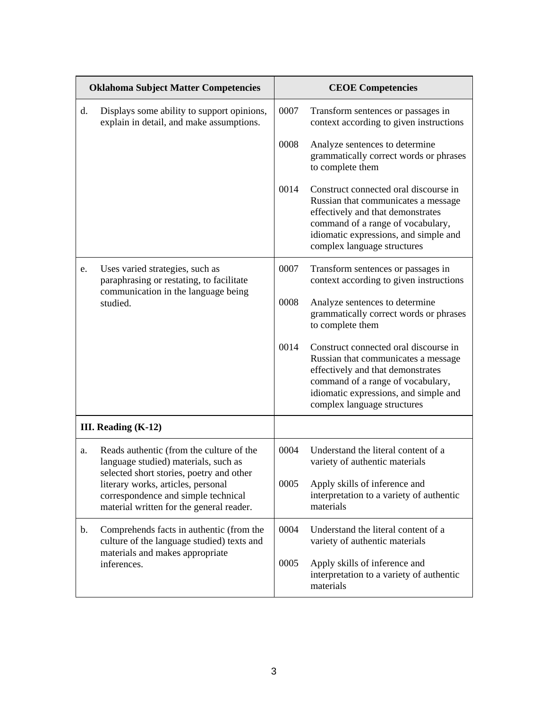| <b>Oklahoma Subject Matter Competencies</b> |                                                                                                                                                                                                                                                       | <b>CEOE Competencies</b>                                                              |                                                                                                                                                                                                                                |  |
|---------------------------------------------|-------------------------------------------------------------------------------------------------------------------------------------------------------------------------------------------------------------------------------------------------------|---------------------------------------------------------------------------------------|--------------------------------------------------------------------------------------------------------------------------------------------------------------------------------------------------------------------------------|--|
| d.                                          | Displays some ability to support opinions,<br>explain in detail, and make assumptions.                                                                                                                                                                | 0007                                                                                  | Transform sentences or passages in<br>context according to given instructions                                                                                                                                                  |  |
|                                             |                                                                                                                                                                                                                                                       | 0008                                                                                  | Analyze sentences to determine<br>grammatically correct words or phrases<br>to complete them                                                                                                                                   |  |
|                                             |                                                                                                                                                                                                                                                       | 0014                                                                                  | Construct connected oral discourse in<br>Russian that communicates a message<br>effectively and that demonstrates<br>command of a range of vocabulary,<br>idiomatic expressions, and simple and<br>complex language structures |  |
| e.                                          | Uses varied strategies, such as<br>paraphrasing or restating, to facilitate<br>communication in the language being                                                                                                                                    | 0007<br>Transform sentences or passages in<br>context according to given instructions |                                                                                                                                                                                                                                |  |
|                                             | studied.                                                                                                                                                                                                                                              | 0008                                                                                  | Analyze sentences to determine<br>grammatically correct words or phrases<br>to complete them                                                                                                                                   |  |
|                                             |                                                                                                                                                                                                                                                       | 0014                                                                                  | Construct connected oral discourse in<br>Russian that communicates a message<br>effectively and that demonstrates<br>command of a range of vocabulary,<br>idiomatic expressions, and simple and<br>complex language structures |  |
|                                             | III. Reading $(K-12)$                                                                                                                                                                                                                                 |                                                                                       |                                                                                                                                                                                                                                |  |
| a.                                          | Reads authentic (from the culture of the<br>language studied) materials, such as<br>selected short stories, poetry and other<br>literary works, articles, personal<br>correspondence and simple technical<br>material written for the general reader. | 0004                                                                                  | Understand the literal content of a<br>variety of authentic materials                                                                                                                                                          |  |
|                                             |                                                                                                                                                                                                                                                       | 0005                                                                                  | Apply skills of inference and<br>interpretation to a variety of authentic<br>materials                                                                                                                                         |  |
| b.                                          | Comprehends facts in authentic (from the<br>culture of the language studied) texts and<br>materials and makes appropriate<br>inferences.                                                                                                              | 0004                                                                                  | Understand the literal content of a<br>variety of authentic materials                                                                                                                                                          |  |
|                                             |                                                                                                                                                                                                                                                       | 0005                                                                                  | Apply skills of inference and<br>interpretation to a variety of authentic<br>materials                                                                                                                                         |  |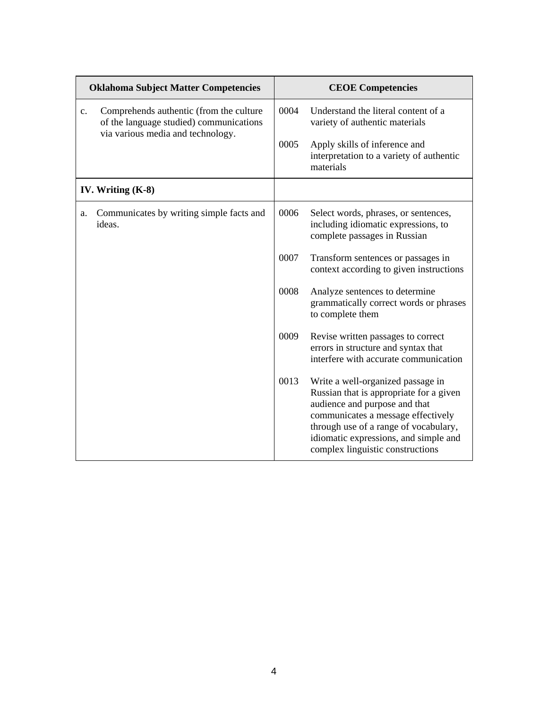|                | <b>Oklahoma Subject Matter Competencies</b>                                                                             |      | <b>CEOE Competencies</b>                                                                                                                                                                                                                                                  |
|----------------|-------------------------------------------------------------------------------------------------------------------------|------|---------------------------------------------------------------------------------------------------------------------------------------------------------------------------------------------------------------------------------------------------------------------------|
| $\mathbf{c}$ . | Comprehends authentic (from the culture<br>of the language studied) communications<br>via various media and technology. | 0004 | Understand the literal content of a<br>variety of authentic materials                                                                                                                                                                                                     |
|                |                                                                                                                         | 0005 | Apply skills of inference and<br>interpretation to a variety of authentic<br>materials                                                                                                                                                                                    |
|                | IV. Writing $(K-8)$                                                                                                     |      |                                                                                                                                                                                                                                                                           |
| a.             | Communicates by writing simple facts and<br>ideas.                                                                      | 0006 | Select words, phrases, or sentences,<br>including idiomatic expressions, to<br>complete passages in Russian                                                                                                                                                               |
|                |                                                                                                                         | 0007 | Transform sentences or passages in<br>context according to given instructions                                                                                                                                                                                             |
|                |                                                                                                                         | 0008 | Analyze sentences to determine<br>grammatically correct words or phrases<br>to complete them                                                                                                                                                                              |
|                |                                                                                                                         | 0009 | Revise written passages to correct<br>errors in structure and syntax that<br>interfere with accurate communication                                                                                                                                                        |
|                |                                                                                                                         | 0013 | Write a well-organized passage in<br>Russian that is appropriate for a given<br>audience and purpose and that<br>communicates a message effectively<br>through use of a range of vocabulary,<br>idiomatic expressions, and simple and<br>complex linguistic constructions |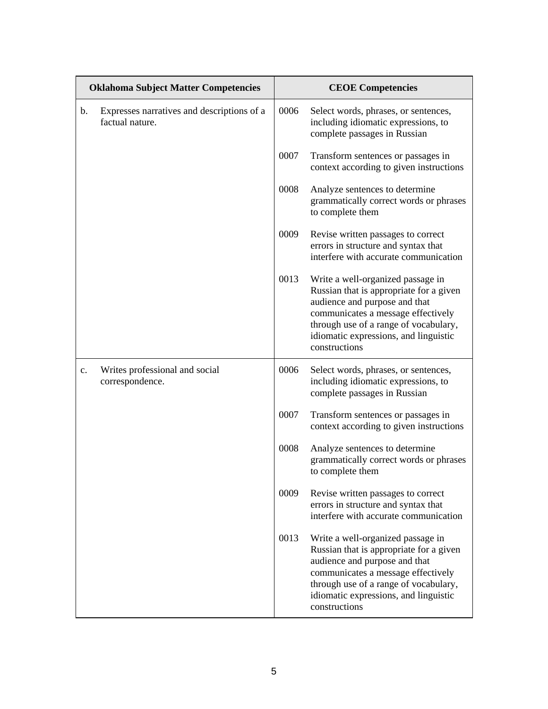| <b>Oklahoma Subject Matter Competencies</b> |                                                               | <b>CEOE Competencies</b> |                                                                                                                                                                                                                                                        |  |
|---------------------------------------------|---------------------------------------------------------------|--------------------------|--------------------------------------------------------------------------------------------------------------------------------------------------------------------------------------------------------------------------------------------------------|--|
| b.                                          | Expresses narratives and descriptions of a<br>factual nature. | 0006                     | Select words, phrases, or sentences,<br>including idiomatic expressions, to<br>complete passages in Russian                                                                                                                                            |  |
|                                             |                                                               | 0007                     | Transform sentences or passages in<br>context according to given instructions                                                                                                                                                                          |  |
|                                             |                                                               | 0008                     | Analyze sentences to determine<br>grammatically correct words or phrases<br>to complete them                                                                                                                                                           |  |
|                                             |                                                               | 0009                     | Revise written passages to correct<br>errors in structure and syntax that<br>interfere with accurate communication                                                                                                                                     |  |
|                                             |                                                               | 0013                     | Write a well-organized passage in<br>Russian that is appropriate for a given<br>audience and purpose and that<br>communicates a message effectively<br>through use of a range of vocabulary,<br>idiomatic expressions, and linguistic<br>constructions |  |
| $\mathbf{c}$ .                              | Writes professional and social<br>correspondence.             | 0006                     | Select words, phrases, or sentences,<br>including idiomatic expressions, to<br>complete passages in Russian                                                                                                                                            |  |
|                                             |                                                               | 0007                     | Transform sentences or passages in<br>context according to given instructions                                                                                                                                                                          |  |
|                                             |                                                               | 0008                     | Analyze sentences to determine<br>grammatically correct words or phrases<br>to complete them                                                                                                                                                           |  |
|                                             |                                                               | 0009                     | Revise written passages to correct<br>errors in structure and syntax that<br>interfere with accurate communication                                                                                                                                     |  |
|                                             |                                                               | 0013                     | Write a well-organized passage in<br>Russian that is appropriate for a given<br>audience and purpose and that<br>communicates a message effectively<br>through use of a range of vocabulary,<br>idiomatic expressions, and linguistic<br>constructions |  |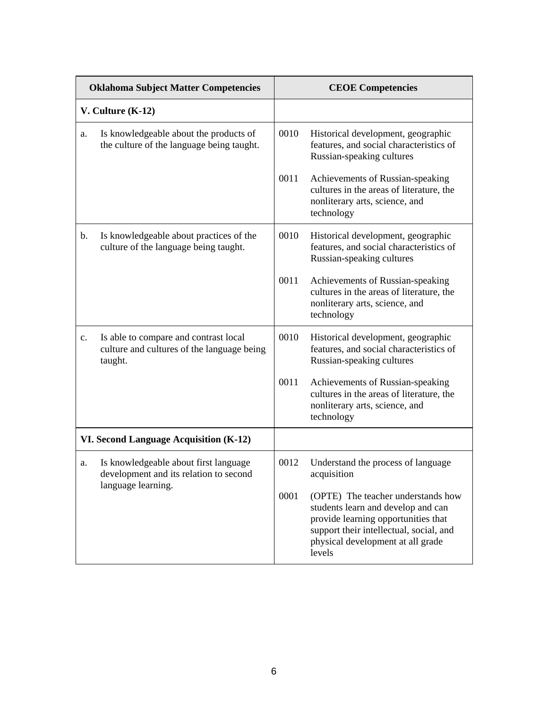| <b>Oklahoma Subject Matter Competencies</b> |                                                                                                | <b>CEOE</b> Competencies |                                                                                                                                                                                                           |
|---------------------------------------------|------------------------------------------------------------------------------------------------|--------------------------|-----------------------------------------------------------------------------------------------------------------------------------------------------------------------------------------------------------|
| $V.$ Culture $(K-12)$                       |                                                                                                |                          |                                                                                                                                                                                                           |
| a.                                          | Is knowledgeable about the products of<br>the culture of the language being taught.            | 0010                     | Historical development, geographic<br>features, and social characteristics of<br>Russian-speaking cultures                                                                                                |
|                                             |                                                                                                | 0011                     | Achievements of Russian-speaking<br>cultures in the areas of literature, the<br>nonliterary arts, science, and<br>technology                                                                              |
| b.                                          | Is knowledgeable about practices of the<br>culture of the language being taught.               | 0010                     | Historical development, geographic<br>features, and social characteristics of<br>Russian-speaking cultures                                                                                                |
|                                             |                                                                                                | 0011                     | Achievements of Russian-speaking<br>cultures in the areas of literature, the<br>nonliterary arts, science, and<br>technology                                                                              |
| $\mathbf{c}$ .                              | Is able to compare and contrast local<br>culture and cultures of the language being<br>taught. | 0010                     | Historical development, geographic<br>features, and social characteristics of<br>Russian-speaking cultures                                                                                                |
|                                             |                                                                                                | 0011                     | Achievements of Russian-speaking<br>cultures in the areas of literature, the<br>nonliterary arts, science, and<br>technology                                                                              |
| VI. Second Language Acquisition (K-12)      |                                                                                                |                          |                                                                                                                                                                                                           |
| a.                                          | Is knowledgeable about first language<br>development and its relation to second                | 0012                     | Understand the process of language<br>acquisition                                                                                                                                                         |
|                                             | language learning.                                                                             | 0001                     | (OPTE) The teacher understands how<br>students learn and develop and can<br>provide learning opportunities that<br>support their intellectual, social, and<br>physical development at all grade<br>levels |